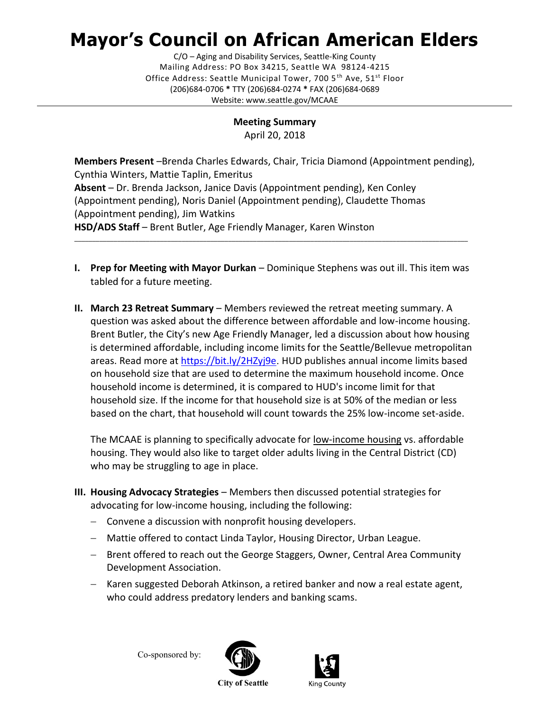## **Mayor's Council on African American Elders**

C/O – Aging and Disability Services, Seattle-King County Mailing Address: PO Box 34215, Seattle WA 98124-4215 Office Address: Seattle Municipal Tower, 700 5<sup>th</sup> Ave, 51<sup>st</sup> Floor (206)684-0706 **\*** TTY (206)684-0274 **\*** FAX (206)684-0689 Website: www.seattle.gov/MCAAE

> **Meeting Summary** April 20, 2018

**Members Present** –Brenda Charles Edwards, Chair, Tricia Diamond (Appointment pending), Cynthia Winters, Mattie Taplin, Emeritus **Absent** – Dr. Brenda Jackson, Janice Davis (Appointment pending), Ken Conley (Appointment pending), Noris Daniel (Appointment pending), Claudette Thomas (Appointment pending), Jim Watkins **HSD/ADS Staff** – Brent Butler, Age Friendly Manager, Karen Winston \_\_\_\_\_\_\_\_\_\_\_\_\_\_\_\_\_\_\_\_\_\_\_\_\_\_\_\_\_\_\_\_\_\_\_\_\_\_\_\_\_\_\_\_\_\_\_\_\_\_\_\_\_\_\_\_\_\_\_\_\_\_\_\_\_\_\_\_\_\_\_\_\_\_\_\_\_\_\_\_\_\_\_\_\_\_\_\_\_\_\_\_\_\_\_\_\_\_\_\_\_\_\_\_\_\_\_\_\_\_

- **I. Prep for Meeting with Mayor Durkan** Dominique Stephens was out ill. This item was tabled for a future meeting.
- **II. March 23 Retreat Summary** Members reviewed the retreat meeting summary. A question was asked about the difference between affordable and low-income housing. Brent Butler, the City's new Age Friendly Manager, led a discussion about how housing is determined affordable, including income limits for the Seattle/Bellevue metropolitan areas. Read more at<https://bit.ly/2HZyj9e>. HUD publishes annual income limits based on household size that are used to determine the maximum household income. Once household income is determined, it is compared to HUD's income limit for that household size. If the income for that household size is at 50% of the median or less based on the chart, that household will count towards the 25% low-income set-aside.

The MCAAE is planning to specifically advocate for low-income housing vs. affordable housing. They would also like to target older adults living in the Central District (CD) who may be struggling to age in place.

- **III. Housing Advocacy Strategies** Members then discussed potential strategies for advocating for low-income housing, including the following:
	- − Convene a discussion with nonprofit housing developers.
	- − Mattie offered to contact Linda Taylor, Housing Director, Urban League.
	- − Brent offered to reach out the George Staggers, Owner, Central Area Community Development Association.
	- − Karen suggested Deborah Atkinson, a retired banker and now a real estate agent, who could address predatory lenders and banking scams.

Co-sponsored by: